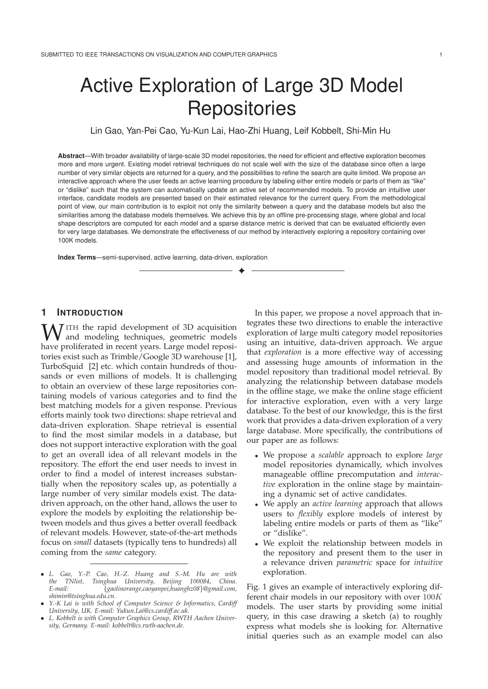# Active Exploration of Large 3D Model **Repositories**

Lin Gao, Yan-Pei Cao, Yu-Kun Lai, Hao-Zhi Huang, Leif Kobbelt, Shi-Min Hu

**Abstract**—With broader availability of large-scale 3D model repositories, the need for efficient and effective exploration becomes more and more urgent. Existing model retrieval techniques do not scale well with the size of the database since often a large number of very similar objects are returned for a query, and the possibilities to refine the search are quite limited. We propose an interactive approach where the user feeds an active learning procedure by labeling either entire models or parts of them as "like" or "dislike" such that the system can automatically update an active set of recommended models. To provide an intuitive user interface, candidate models are presented based on their estimated relevance for the current query. From the methodological point of view, our main contribution is to exploit not only the similarity between a query and the database models but also the similarities among the database models themselves. We achieve this by an offline pre-processing stage, where global and local shape descriptors are computed for each model and a sparse distance metric is derived that can be evaluated efficiently even for very large databases. We demonstrate the effectiveness of our method by interactively exploring a repository containing over 100K models.

✦

**Index Terms**—semi-supervised, active learning, data-driven, exploration

# **1 INTRODUCTION**

W ITH the rapid development of 3D acquisition<br>have proliferated in recent years I are model reposihave proliferated in recent years. Large model repositories exist such as Trimble/Google 3D warehouse [1], TurboSquid [2] etc. which contain hundreds of thousands or even millions of models. It is challenging to obtain an overview of these large repositories containing models of various categories and to find the best matching models for a given response. Previous efforts mainly took two directions: shape retrieval and data-driven exploration. Shape retrieval is essential to find the most similar models in a database, but does not support interactive exploration with the goal to get an overall idea of all relevant models in the repository. The effort the end user needs to invest in order to find a model of interest increases substantially when the repository scales up, as potentially a large number of very similar models exist. The datadriven approach, on the other hand, allows the user to explore the models by exploiting the relationship between models and thus gives a better overall feedback of relevant models. However, state-of-the-art methods focus on *small* datasets (typically tens to hundreds) all coming from the *same* category.

In this paper, we propose a novel approach that integrates these two directions to enable the interactive exploration of large multi category model repositories using an intuitive, data-driven approach. We argue that *exploration* is a more effective way of accessing and assessing huge amounts of information in the model repository than traditional model retrieval. By analyzing the relationship between database models in the offline stage, we make the online stage efficient for interactive exploration, even with a very large database. To the best of our knowledge, this is the first work that provides a data-driven exploration of a very large database. More specifically, the contributions of our paper are as follows:

- We propose a *scalable* approach to explore *large* model repositories dynamically, which involves manageable offline precomputation and *interactive* exploration in the online stage by maintaining a dynamic set of active candidates.
- We apply an *active learning* approach that allows users to *flexibly* explore models of interest by labeling entire models or parts of them as "like" or "dislike".
- We exploit the relationship between models in the repository and present them to the user in a relevance driven *parametric* space for *intuitive* exploration.

Fig. 1 gives an example of interactively exploring different chair models in our repository with over 100<sup>K</sup> models. The user starts by providing some initial query, in this case drawing a sketch (a) to roughly express what models she is looking for. Alternative initial queries such as an example model can also

<sup>•</sup> *L. Gao, Y.-P. Cao, H.-Z. Huang and S.-M. Hu are with the TNlist, Tsinghua University, Beijing 100084, China. E-mail:* {*gaolinorange,caoyanpei,huanghz08*}*@gmail.com, shimin@tsinghua.edu.cn.*

<sup>•</sup> *Y.-K Lai is with School of Computer Science & Informatics, Cardiff University, UK. E-mail: Yukun.Lai@cs.cardiff.ac.uk.*

<sup>•</sup> *L. Kobbelt is with Computer Graphics Group, RWTH Aachen University, Germany. E-mail: kobbelt@cs.rwth-aachen.de.*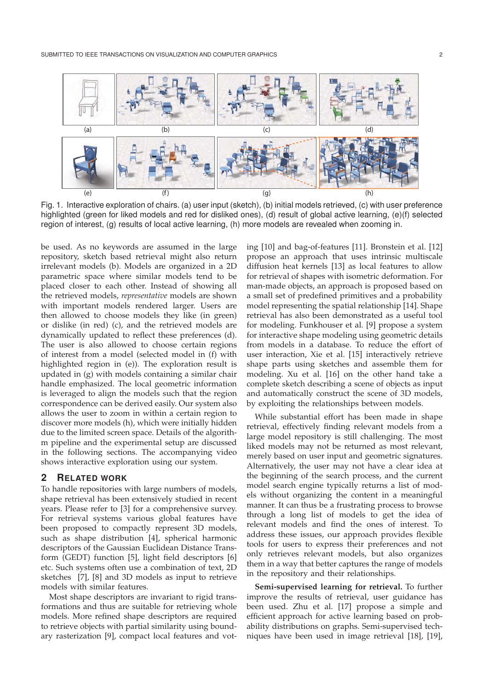

Fig. 1. Interactive exploration of chairs. (a) user input (sketch), (b) initial models retrieved, (c) with user preference highlighted (green for liked models and red for disliked ones), (d) result of global active learning, (e)(f) selected region of interest, (g) results of local active learning, (h) more models are revealed when zooming in.

be used. As no keywords are assumed in the large repository, sketch based retrieval might also return irrelevant models (b). Models are organized in a 2D parametric space where similar models tend to be placed closer to each other. Instead of showing all the retrieved models, *representative* models are shown with important models rendered larger. Users are then allowed to choose models they like (in green) or dislike (in red) (c), and the retrieved models are dynamically updated to reflect these preferences (d). The user is also allowed to choose certain regions of interest from a model (selected model in (f) with highlighted region in (e)). The exploration result is updated in (g) with models containing a similar chair handle emphasized. The local geometric information is leveraged to align the models such that the region correspondence can be derived easily. Our system also allows the user to zoom in within a certain region to discover more models (h), which were initially hidden due to the limited screen space. Details of the algorithm pipeline and the experimental setup are discussed in the following sections. The accompanying video shows interactive exploration using our system.

# **2 RELATED WORK**

To handle repositories with large numbers of models, shape retrieval has been extensively studied in recent years. Please refer to [3] for a comprehensive survey. For retrieval systems various global features have been proposed to compactly represent 3D models, such as shape distribution [4], spherical harmonic descriptors of the Gaussian Euclidean Distance Transform (GEDT) function [5], light field descriptors [6] etc. Such systems often use a combination of text, 2D sketches [7], [8] and 3D models as input to retrieve models with similar features.

Most shape descriptors are invariant to rigid transformations and thus are suitable for retrieving whole models. More refined shape descriptors are required to retrieve objects with partial similarity using boundary rasterization [9], compact local features and voting [10] and bag-of-features [11]. Bronstein et al. [12] propose an approach that uses intrinsic multiscale diffusion heat kernels [13] as local features to allow for retrieval of shapes with isometric deformation. For man-made objects, an approach is proposed based on a small set of predefined primitives and a probability model representing the spatial relationship [14]. Shape retrieval has also been demonstrated as a useful tool for modeling. Funkhouser et al. [9] propose a system for interactive shape modeling using geometric details from models in a database. To reduce the effort of user interaction, Xie et al. [15] interactively retrieve shape parts using sketches and assemble them for modeling. Xu et al. [16] on the other hand take a complete sketch describing a scene of objects as input and automatically construct the scene of 3D models, by exploiting the relationships between models.

While substantial effort has been made in shape retrieval, effectively finding relevant models from a large model repository is still challenging. The most liked models may not be returned as most relevant, merely based on user input and geometric signatures. Alternatively, the user may not have a clear idea at the beginning of the search process, and the current model search engine typically returns a list of models without organizing the content in a meaningful manner. It can thus be a frustrating process to browse through a long list of models to get the idea of relevant models and find the ones of interest. To address these issues, our approach provides flexible tools for users to express their preferences and not only retrieves relevant models, but also organizes them in a way that better captures the range of models in the repository and their relationships.

**Semi-supervised learning for retrieval.** To further improve the results of retrieval, user guidance has been used. Zhu et al. [17] propose a simple and efficient approach for active learning based on probability distributions on graphs. Semi-supervised techniques have been used in image retrieval [18], [19],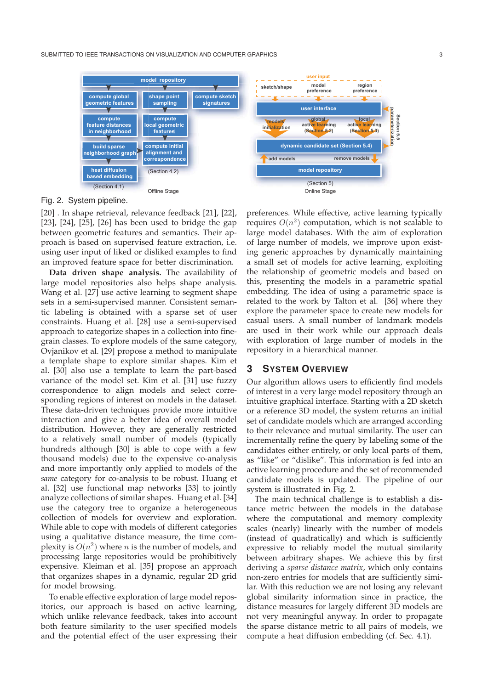

Fig. 2. System pipeline.

[20] . In shape retrieval, relevance feedback [21], [22], [23], [24], [25], [26] has been used to bridge the gap between geometric features and semantics. Their approach is based on supervised feature extraction, i.e. using user input of liked or disliked examples to find an improved feature space for better discrimination.

**Data driven shape analysis.** The availability of large model repositories also helps shape analysis. Wang et al. [27] use active learning to segment shape sets in a semi-supervised manner. Consistent semantic labeling is obtained with a sparse set of user constraints. Huang et al. [28] use a semi-supervised approach to categorize shapes in a collection into finegrain classes. To explore models of the same category, Ovjanikov et al. [29] propose a method to manipulate a template shape to explore similar shapes. Kim et al. [30] also use a template to learn the part-based variance of the model set. Kim et al. [31] use fuzzy correspondence to align models and select corresponding regions of interest on models in the dataset. These data-driven techniques provide more intuitive interaction and give a better idea of overall model distribution. However, they are generally restricted to a relatively small number of models (typically hundreds although [30] is able to cope with a few thousand models) due to the expensive co-analysis and more importantly only applied to models of the *same* category for co-analysis to be robust. Huang et al. [32] use functional map networks [33] to jointly analyze collections of similar shapes. Huang et al. [34] use the category tree to organize a heterogeneous collection of models for overview and exploration. While able to cope with models of different categories using a qualitative distance measure, the time complexity is  $O(n^2)$  where *n* is the number of models, and processing large repositories would be prohibitively expensive. Kleiman et al. [35] propose an approach that organizes shapes in a dynamic, regular 2D grid for model browsing.

To enable effective exploration of large model repositories, our approach is based on active learning, which unlike relevance feedback, takes into account both feature similarity to the user specified models and the potential effect of the user expressing their

preferences. While effective, active learning typically requires  $O(n^2)$  computation, which is not scalable to large model databases. With the aim of exploration of large number of models, we improve upon existing generic approaches by dynamically maintaining a small set of models for active learning, exploiting the relationship of geometric models and based on this, presenting the models in a parametric spatial embedding. The idea of using a parametric space is related to the work by Talton et al. [36] where they explore the parameter space to create new models for casual users. A small number of landmark models are used in their work while our approach deals with exploration of large number of models in the repository in a hierarchical manner.

## **3 SYSTEM OVERVIEW**

Our algorithm allows users to efficiently find models of interest in a very large model repository through an intuitive graphical interface. Starting with a 2D sketch or a reference 3D model, the system returns an initial set of candidate models which are arranged according to their relevance and mutual similarity. The user can incrementally refine the query by labeling some of the candidates either entirely, or only local parts of them, as "like" or "dislike". This information is fed into an active learning procedure and the set of recommended candidate models is updated. The pipeline of our system is illustrated in Fig. 2.

The main technical challenge is to establish a distance metric between the models in the database where the computational and memory complexity scales (nearly) linearly with the number of models (instead of quadratically) and which is sufficiently expressive to reliably model the mutual similarity between arbitrary shapes. We achieve this by first deriving a *sparse distance matrix*, which only contains non-zero entries for models that are sufficiently similar. With this reduction we are not losing any relevant global similarity information since in practice, the distance measures for largely different 3D models are not very meaningful anyway. In order to propagate the sparse distance metric to all pairs of models, we compute a heat diffusion embedding (cf. Sec. 4.1).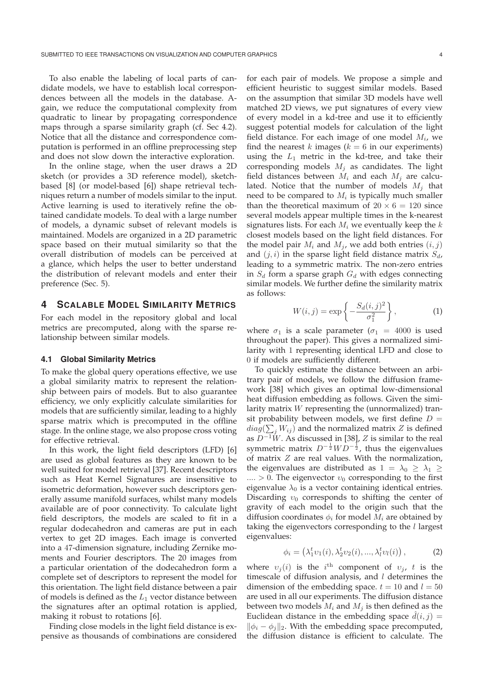To also enable the labeling of local parts of candidate models, we have to establish local correspondences between all the models in the database. Again, we reduce the computational complexity from quadratic to linear by propagating correspondence maps through a sparse similarity graph (cf. Sec 4.2). Notice that all the distance and correspondence computation is performed in an offline preprocessing step and does not slow down the interactive exploration.

In the online stage, when the user draws a 2D sketch (or provides a 3D reference model), sketchbased [8] (or model-based [6]) shape retrieval techniques return a number of models similar to the input. Active learning is used to iteratively refine the obtained candidate models. To deal with a large number of models, a dynamic subset of relevant models is maintained. Models are organized in a 2D parametric space based on their mutual similarity so that the overall distribution of models can be perceived at a glance, which helps the user to better understand the distribution of relevant models and enter their preference (Sec. 5).

## **4 SCALABLE MODEL SIMILARITY METRICS**

For each model in the repository global and local metrics are precomputed, along with the sparse relationship between similar models.

### **4.1 Global Similarity Metrics**

To make the global query operations effective, we use a global similarity matrix to represent the relationship between pairs of models. But to also guarantee efficiency, we only explicitly calculate similarities for models that are sufficiently similar, leading to a highly sparse matrix which is precomputed in the offline stage. In the online stage, we also propose cross voting for effective retrieval.

In this work, the light field descriptors (LFD) [6] are used as global features as they are known to be well suited for model retrieval [37]. Recent descriptors such as Heat Kernel Signatures are insensitive to isometric deformation, however such descriptors generally assume manifold surfaces, whilst many models available are of poor connectivity. To calculate light field descriptors, the models are scaled to fit in a regular dodecahedron and cameras are put in each vertex to get 2D images. Each image is converted into a 47-dimension signature, including Zernike moments and Fourier descriptors. The 20 images from a particular orientation of the dodecahedron form a complete set of descriptors to represent the model for this orientation. The light field distance between a pair of models is defined as the  $L_1$  vector distance between the signatures after an optimal rotation is applied, making it robust to rotations [6].

Finding close models in the light field distance is expensive as thousands of combinations are considered

for each pair of models. We propose a simple and efficient heuristic to suggest similar models. Based on the assumption that similar 3D models have well matched 2D views, we put signatures of every view of every model in a kd-tree and use it to efficiently suggest potential models for calculation of the light field distance. For each image of one model  $M_i$ , we find the nearest  $k$  images ( $k = 6$  in our experiments) using the  $L_1$  metric in the kd-tree, and take their corresponding models  $M_i$  as candidates. The light field distances between  $M_i$  and each  $M_i$  are calculated. Notice that the number of models  $M_i$  that need to be compared to  $M_i$  is typically much smaller than the theoretical maximum of  $20 \times 6 = 120$  since several models appear multiple times in the k-nearest signatures lists. For each  $M_i$  we eventually keep the  $k$ closest models based on the light field distances. For the model pair  $M_i$  and  $M_j$ , we add both entries  $(i, j)$ and  $(j, i)$  in the sparse light field distance matrix  $S_d$ , leading to a symmetric matrix. The non-zero entries in  $S_d$  form a sparse graph  $G_d$  with edges connecting similar models. We further define the similarity matrix as follows:

$$
W(i,j) = \exp\left\{-\frac{S_d(i,j)^2}{\sigma_1^2}\right\},\tag{1}
$$

where  $\sigma_1$  is a scale parameter ( $\sigma_1$  = 4000 is used throughout the paper). This gives a normalized similarity with 1 representing identical LFD and close to 0 if models are sufficiently different.

To quickly estimate the distance between an arbitrary pair of models, we follow the diffusion framework [38] which gives an optimal low-dimensional heat diffusion embedding as follows. Given the similarity matrix W representing the (unnormalized) transit probability between models, we first define  $D =$  $diag(\sum_j W_{ij})$  and the normalized matrix Z is defined<br>as  $D^{-1}W$ , As discussed in [38], Z is similar to the real as  $D^{-1}\tilde{W}$ . As discussed in [38], Z is similar to the real symmetric matrix  $D^{-\frac{1}{2}}WD^{-\frac{1}{2}}$ , thus the eigenvalues of matrix Z are real values. With the normalization, the eigenvalues are distributed as  $1 = \lambda_0 \geq \lambda_1 \geq$  $... > 0$ . The eigenvector  $v_0$  corresponding to the first eigenvalue  $\lambda_0$  is a vector containing identical entries. Discarding  $v_0$  corresponds to shifting the center of gravity of each model to the origin such that the diffusion coordinates  $\phi_i$  for model  $M_i$  are obtained by taking the eigenvectors corresponding to the  $l$  largest eigenvalues:

$$
\phi_i = (\lambda_1^t v_1(i), \lambda_2^t v_2(i), ..., \lambda_l^t v_l(i)),
$$
 (2)

where  $v_j(i)$  is the i<sup>th</sup> component of  $v_j$ , t is the timescale of diffusion analysis and l determines the timescale of diffusion analysis, and  $l$  determines the dimension of the embedding space.  $t = 10$  and  $l = 50$ are used in all our experiments. The diffusion distance between two models  $M_i$  and  $M_j$  is then defined as the Euclidean distance in the embedding space  $d(i, j) =$ <br> $\mathbb{R}^d$   $\rightarrow$   $\mathbb{R}^d$ . With the embedding space precomputed  $\|\phi_i - \phi_i\|_2$ . With the embedding space precomputed, the diffusion distance is efficient to calculate. The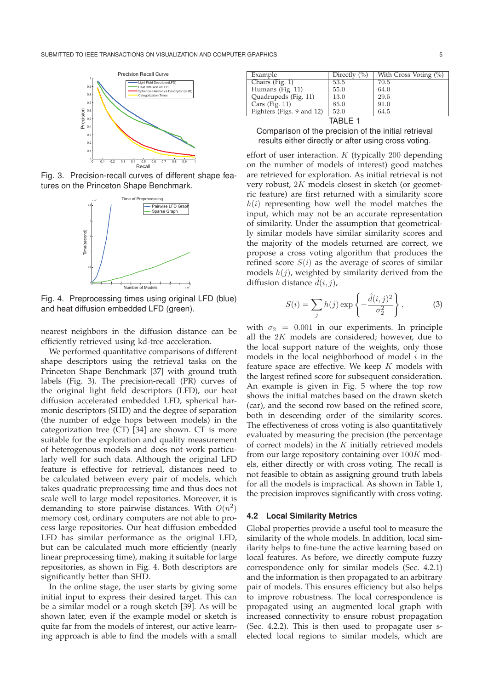

Fig. 3. Precision-recall curves of different shape features on the Princeton Shape Benchmark.



Fig. 4. Preprocessing times using original LFD (blue) and heat diffusion embedded LFD (green).

nearest neighbors in the diffusion distance can be efficiently retrieved using kd-tree acceleration.

We performed quantitative comparisons of different shape descriptors using the retrieval tasks on the Princeton Shape Benchmark [37] with ground truth labels (Fig. 3). The precision-recall (PR) curves of the original light field descriptors (LFD), our heat diffusion accelerated embedded LFD, spherical harmonic descriptors (SHD) and the degree of separation (the number of edge hops between models) in the categorization tree (CT) [34] are shown. CT is more suitable for the exploration and quality measurement of heterogenous models and does not work particularly well for such data. Although the original LFD feature is effective for retrieval, distances need to be calculated between every pair of models, which takes quadratic preprocessing time and thus does not scale well to large model repositories. Moreover, it is demanding to store pairwise distances. With  $O(n^2)$ memory cost, ordinary computers are not able to process large repositories. Our heat diffusion embedded LFD has similar performance as the original LFD, but can be calculated much more efficiently (nearly linear preprocessing time), making it suitable for large repositories, as shown in Fig. 4. Both descriptors are significantly better than SHD.

In the online stage, the user starts by giving some initial input to express their desired target. This can be a similar model or a rough sketch [39]. As will be shown later, even if the example model or sketch is quite far from the models of interest, our active learning approach is able to find the models with a small

| Example                   | Directly $(\% )$ | With Cross Voting $(\%)$ |
|---------------------------|------------------|--------------------------|
| Chairs (Fig. 1)           | 53.5             | 70.5                     |
| Humans (Fig. 11)          | 55.0             | 64.0                     |
| Quadrupeds (Fig. 11)      | 13.0             | 29.5                     |
| Cars (Fig. $11$ )         | 85.0             | 91.0                     |
| Fighters (Figs. 9 and 12) | 52.0             | 64.5                     |
|                           |                  |                          |

Comparison of the precision of the initial retrieval results either directly or after using cross voting.

effort of user interaction. <sup>K</sup> (typically 200 depending on the number of models of interest) good matches are retrieved for exploration. As initial retrieval is not very robust, 2<sup>K</sup> models closest in sketch (or geometric feature) are first returned with a similarity score  $h(i)$  representing how well the model matches the input, which may not be an accurate representation of similarity. Under the assumption that geometrically similar models have similar similarity scores and the majority of the models returned are correct, we propose a cross voting algorithm that produces the refined score  $S(i)$  as the average of scores of similar models  $h(j)$ , weighted by similarity derived from the diffusion distance  $\tilde{d}(i, j)$ ,

$$
S(i) = \sum_{j} h(j) \exp\left\{-\frac{\hat{d}(i,j)^2}{\sigma_2^2}\right\},\tag{3}
$$

with  $\sigma_2$  = 0.001 in our experiments. In principle all the 2<sup>K</sup> models are considered; however, due to the local support nature of the weights, only those models in the local neighborhood of model  $i$  in the feature space are effective. We keep  $K$  models with the largest refined score for subsequent consideration. An example is given in Fig. 5 where the top row shows the initial matches based on the drawn sketch (car), and the second row based on the refined score, both in descending order of the similarity scores. The effectiveness of cross voting is also quantitatively evaluated by measuring the precision (the percentage of correct models) in the K initially retrieved models from our large repository containing over 100<sup>K</sup> models, either directly or with cross voting. The recall is not feasible to obtain as assigning ground truth labels for all the models is impractical. As shown in Table 1, the precision improves significantly with cross voting.

## **4.2 Local Similarity Metrics**

Global properties provide a useful tool to measure the similarity of the whole models. In addition, local similarity helps to fine-tune the active learning based on local features. As before, we directly compute fuzzy correspondence only for similar models (Sec. 4.2.1) and the information is then propagated to an arbitrary pair of models. This ensures efficiency but also helps to improve robustness. The local correspondence is propagated using an augmented local graph with increased connectivity to ensure robust propagation (Sec. 4.2.2). This is then used to propagate user selected local regions to similar models, which are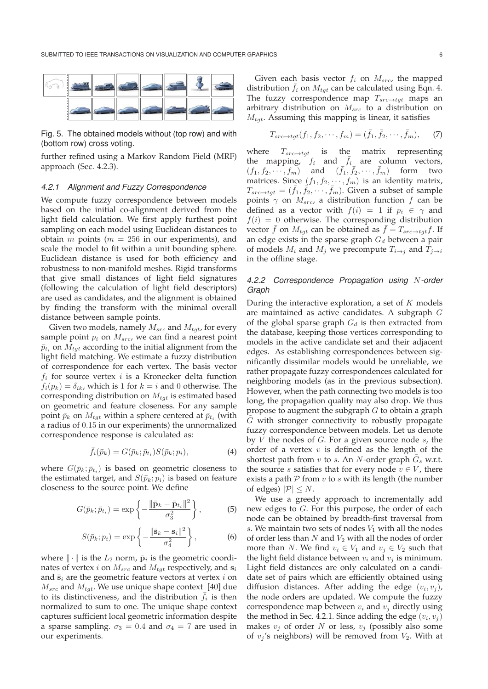

Fig. 5. The obtained models without (top row) and with (bottom row) cross voting.

further refined using a Markov Random Field (MRF) approach (Sec. 4.2.3).

#### *4.2.1 Alignment and Fuzzy Correspondence*

We compute fuzzy correspondence between models based on the initial co-alignment derived from the light field calculation. We first apply furthest point sampling on each model using Euclidean distances to obtain  $m$  points ( $m = 256$  in our experiments), and scale the model to fit within a unit bounding sphere. Euclidean distance is used for both efficiency and robustness to non-manifold meshes. Rigid transforms that give small distances of light field signatures (following the calculation of light field descriptors) are used as candidates, and the alignment is obtained by finding the transform with the minimal overall distance between sample points.

Given two models, namely  $M_{src}$  and  $M_{tat}$ , for every sample point  $p_i$  on  $M_{src}$ , we can find a nearest point  $\bar{p}_{t_i}$  on  $M_{tqt}$  according to the initial alignment from the light field matching. We estimate a fuzzy distribution of correspondence for each vertex. The basis vector  $f_i$  for source vertex  $i$  is a Kronecker delta function  $f_i(p_k) = \delta_{ik}$ , which is 1 for  $k = i$  and 0 otherwise. The corresponding distribution on  $M_{tgt}$  is estimated based on geometric and feature closeness. For any sample point  $\bar{p}_k$  on  $M_{tgt}$  within a sphere centered at  $\bar{p}_{t_i}$  (with a radius of 0.15 in our experiments) the unnormalized correspondence response is calculated as:

$$
\bar{f}_i(\bar{p}_k) = G(\bar{p}_k; \bar{p}_{t_i}) S(\bar{p}_k; p_i), \tag{4}
$$

where  $G(\bar{p}_k; \bar{p}_{t_i})$  is based on geometric closeness to the estimated target, and  $S(\bar{p}_k; p_i)$  is based on feature closeness to the source point. We define

$$
G(\bar{p}_k; \bar{p}_{t_i}) = \exp\left\{-\frac{\|\bar{\mathbf{p}}_k - \bar{\mathbf{p}}_{t_i}\|^2}{\sigma_3^2}\right\},\tag{5}
$$

$$
S(\bar{p}_k; p_i) = \exp\left\{-\frac{\|\bar{\mathbf{s}}_k - \mathbf{s}_i\|^2}{\sigma_4^2}\right\},\tag{6}
$$

where  $\|\cdot\|$  is the  $L_2$  norm,  $\bar{\mathbf{p}}_i$  is the geometric coordinates of vertex *i* on  $M_{src}$  and  $M_{tgt}$  respectively, and  $s_i$ and  $\bar{\mathbf{s}}_i$  are the geometric feature vectors at vertex  $i$  on  $M_{src}$  and  $M_{tat}$ . We use unique shape context [40] due to its distinctiveness, and the distribution  $\bar{f}_i$  is then normalized to sum to one. The unique shape context captures sufficient local geometric information despite a sparse sampling.  $\sigma_3 = 0.4$  and  $\sigma_4 = 7$  are used in our experiments.

Given each basis vector  $f_i$  on  $M_{src}$ , the mapped distribution  $f_i$  on  $M_{tqt}$  can be calculated using Eqn. 4. The fuzzy correspondence map  $T_{src \rightarrow \textit{tgt}}$  maps an arbitrary distribution on  $M_{src}$  to a distribution on  $M_{tqt}$ . Assuming this mapping is linear, it satisfies

$$
T_{src \to \mathit{tgt}}(f_1, f_2, \cdots, f_m) = (\bar{f}_1, \bar{f}_2, \cdots, \bar{f}_m), \qquad (7)
$$

where  $T_{src \rightarrow tgt}$  is the matrix representing the mapping,  $f_i$  and  $\bar{f}_i$  are column vectors,<br> $(f_1, f_2, \dots, f_m)$  and  $(\bar{f}_1, \bar{f}_2, \dots, \bar{f}_m)$  form two  $(f_1, f_2, \dots, f_m)$  and  $(f_1, f_2, \dots, f_m)$ matrices. Since  $(f_1, f_2, \dots, f_m)$  is an identity matrix,  $T_{src \to tgt} = (\bar{f}_1, \bar{f}_2, \cdots, \bar{f}_m)$ . Given a subset of sample points  $\gamma$  on  $M_{src}$ , a distribution function f can be defined as a vector with  $f(i)=1$  if  $p_i \in \gamma$  and  $f(i)=0$  otherwise. The corresponding distribution vector  $\bar{f}$  on  $M_{tgt}$  can be obtained as  $\bar{f} = T_{src \to tg} f$ . If an edge exists in the sparse graph  $G_d$  between a pair of models  $M_i$  and  $M_j$  we precompute  $T_{i\rightarrow j}$  and  $T_{j\rightarrow i}$ in the offline stage.

## *4.2.2 Correspondence Propagation using* N*-order Graph*

During the interactive exploration, a set of  $K$  models are maintained as active candidates. A subgraph G of the global sparse graph  $G_d$  is then extracted from the database, keeping those vertices corresponding to models in the active candidate set and their adjacent edges. As establishing correspondences between significantly dissimilar models would be unreliable, we rather propagate fuzzy correspondences calculated for neighboring models (as in the previous subsection). However, when the path connecting two models is too long, the propagation quality may also drop. We thus propose to augment the subgraph  $G$  to obtain a graph  $G$  with stronger connectivity to robustly propagate fuzzy correspondence between models. Let us denote by  $V$  the nodes of  $G$ . For a given source node  $s$ , the order of a vertex  $v$  is defined as the length of the shortest path from v to s. An N-order graph  $G_s$  w.r.t. the source *s* satisfies that for every node  $v \in V$ , there exists a path  $P$  from  $v$  to  $s$  with its length (the number of edges)  $|\mathcal{P}| \leq N$ .

We use a greedy approach to incrementally add new edges to G. For this purpose, the order of each node can be obtained by breadth-first traversal from s. We maintain two sets of nodes  $V_1$  with all the nodes of order less than  $N$  and  $V_2$  with all the nodes of order more than N. We find  $v_i \in V_1$  and  $v_j \in V_2$  such that the light field distance between  $v_i$  and  $v_j$  is minimum. Light field distances are only calculated on a candidate set of pairs which are efficiently obtained using diffusion distances. After adding the edge  $(v_i, v_j)$ , the node orders are updated. We compute the fuzzy correspondence map between  $v_i$  and  $v_j$  directly using the method in Sec. 4.2.1. Since adding the edge  $(v_i, v_j)$ makes  $v_i$  of order N or less,  $v_i$  (possibly also some of  $v_j$ 's neighbors) will be removed from  $V_2$ . With at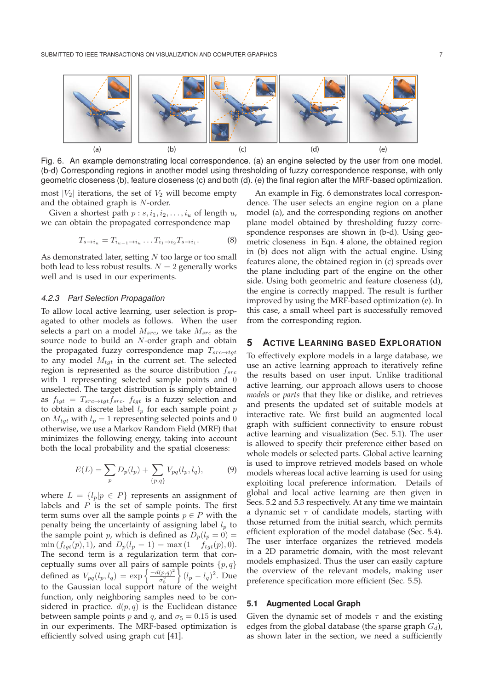

Fig. 6. An example demonstrating local correspondence. (a) an engine selected by the user from one model. (b-d) Corresponding regions in another model using thresholding of fuzzy correspondence response, with only geometric closeness (b), feature closeness (c) and both (d). (e) the final region after the MRF-based optimization.

most  $|V_2|$  iterations, the set of  $V_2$  will become empty and the obtained graph is N-order.

Given a shortest path  $p : s, i_1, i_2, \ldots, i_u$  of length  $u$ , we can obtain the propagated correspondence map

$$
T_{s \to i_u} = T_{i_{u-1} \to i_u} \dots T_{i_1 \to i_2} T_{s \to i_1}.
$$
 (8)

As demonstrated later, setting  $N$  too large or too small both lead to less robust results.  $N = 2$  generally works well and is used in our experiments.

### *4.2.3 Part Selection Propagation*

To allow local active learning, user selection is propagated to other models as follows. When the user selects a part on a model  $M_{src}$ , we take  $M_{src}$  as the source node to build an N-order graph and obtain the propagated fuzzy correspondence map  $T_{src \rightarrow tgt}$ to any model  $M_{tot}$  in the current set. The selected region is represented as the source distribution  $f_{src}$ with 1 representing selected sample points and 0 unselected. The target distribution is simply obtained as  $f_{tgt} = T_{src \rightarrow tgt} f_{src}$ .  $f_{tgt}$  is a fuzzy selection and to obtain a discrete label  $l_p$  for each sample point p on  $M_{tqt}$  with  $l_p = 1$  representing selected points and 0 otherwise, we use a Markov Random Field (MRF) that minimizes the following energy, taking into account both the local probability and the spatial closeness:

$$
E(L) = \sum_{p} D_p(l_p) + \sum_{\{p,q\}} V_{pq}(l_p, l_q), \tag{9}
$$

where  $L = \{l_p | p \in P\}$  represents an assignment of labels and  $P$  is the set of sample points. The first term sums over all the sample points  $p \in P$  with the penalty being the uncertainty of assigning label  $l_p$  to the sample point p, which is defined as  $D_p(l_p = 0) =$  $\min(f_{tgt}(p), 1)$ , and  $D_p(l_p = 1) = \max(1 - f_{tgt}(p), 0)$ . The second term is a regularization term that conceptually sums over all pairs of sample points  $\{p,q\}$ defined as  $V_{pq}(l_p, l_q) = \exp \left\{ \frac{-d(p,q)^2}{\sigma_0^2} \right\}$  $\left\{ (l_p - l_q)^2 \right.$  Due to the Gaussian local support nature of the weight function, only neighboring samples need to be considered in practice.  $d(p, q)$  is the Euclidean distance between sample points *p* and *q*, and  $\sigma$ <sub>5</sub> = 0.15 is used in our experiments. The MRF-based optimization is efficiently solved using graph cut [41].

An example in Fig. 6 demonstrates local correspondence. The user selects an engine region on a plane model (a), and the corresponding regions on another plane model obtained by thresholding fuzzy correspondence responses are shown in (b-d). Using geometric closeness in Eqn. 4 alone, the obtained region in (b) does not align with the actual engine. Using features alone, the obtained region in (c) spreads over the plane including part of the engine on the other side. Using both geometric and feature closeness (d), the engine is correctly mapped. The result is further improved by using the MRF-based optimization (e). In this case, a small wheel part is successfully removed from the corresponding region.

# **5 ACTIVE LEARNING BASED EXPLORATION**

To effectively explore models in a large database, we use an active learning approach to iteratively refine the results based on user input. Unlike traditional active learning, our approach allows users to choose *models* or *parts* that they like or dislike, and retrieves and presents the updated set of suitable models at interactive rate. We first build an augmented local graph with sufficient connectivity to ensure robust active learning and visualization (Sec. 5.1). The user is allowed to specify their preference either based on whole models or selected parts. Global active learning is used to improve retrieved models based on whole models whereas local active learning is used for using exploiting local preference information. Details of global and local active learning are then given in Secs. 5.2 and 5.3 respectively. At any time we maintain a dynamic set  $\tau$  of candidate models, starting with those returned from the initial search, which permits efficient exploration of the model database (Sec. 5.4). The user interface organizes the retrieved models in a 2D parametric domain, with the most relevant models emphasized. Thus the user can easily capture the overview of the relevant models, making user preference specification more efficient (Sec. 5.5).

## **5.1 Augmented Local Graph**

Given the dynamic set of models  $\tau$  and the existing edges from the global database (the sparse graph  $G_d$ ), as shown later in the section, we need a sufficiently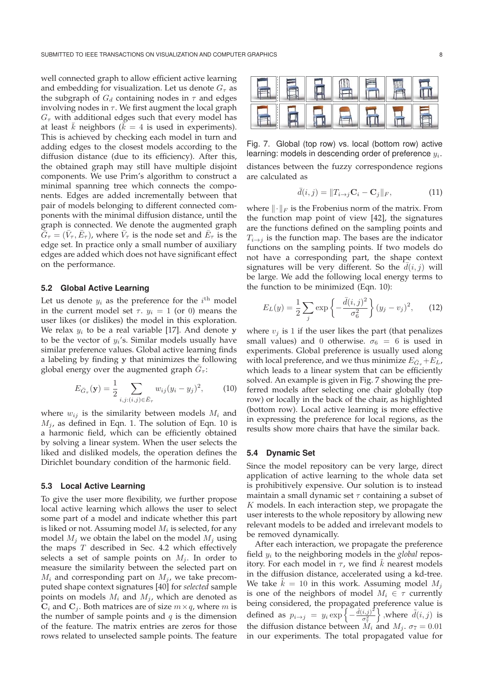well connected graph to allow efficient active learning and embedding for visualization. Let us denote  $G<sub>\tau</sub>$  as the subgraph of  $G_d$  containing nodes in  $\tau$  and edges involving nodes in  $\tau$ . We first augment the local graph  $G<sub>\tau</sub>$  with additional edges such that every model has at least  $\overline{k}$  neighbors ( $\overline{k} = 4$  is used in experiments).<br>This is achieved by checking each model in turn and This is achieved by checking each model in turn and adding edges to the closest models according to the diffusion distance (due to its efficiency). After this, the obtained graph may still have multiple disjoint components. We use Prim's algorithm to construct a minimal spanning tree which connects the components. Edges are added incrementally between that pair of models belonging to different connected components with the minimal diffusion distance, until the graph is connected. We denote the augmented graph  $\bar{G}_{\tau} = (\bar{V}_{\tau}, \bar{E}_{\tau})$ , where  $\bar{V}_{\tau}$  is the node set and  $\bar{E}_{\tau}$  is the edge set. In practice only a small number of auxiliary edges are added which does not have significant effect on the performance.

# **5.2 Global Active Learning**

Let us denote  $y_i$  as the preference for the  $i^{\text{th}}$  model in the current model set  $\tau$ .  $y_i = 1$  (or 0) means the user likes (or dislikes) the model in this exploration. We relax  $y_i$  to be a real variable [17]. And denote **y** to be the vector of  $y_i$ 's. Similar models usually have similar preference values. Global active learning finds a labeling by finding **y** that minimizes the following global energy over the augmented graph  $\overline{G}_\tau$ :

$$
E_{\bar{G}_{\tau}}(\mathbf{y}) = \frac{1}{2} \sum_{i,j:(i,j) \in \bar{E}_{\tau}} w_{ij} (y_i - y_j)^2, \qquad (10)
$$

where  $w_{ij}$  is the similarity between models  $M_i$  and  $M_j$ , as defined in Eqn. 1. The solution of Eqn. 10 is a harmonic field, which can be efficiently obtained by solving a linear system. When the user selects the liked and disliked models, the operation defines the Dirichlet boundary condition of the harmonic field.

#### **5.3 Local Active Learning**

To give the user more flexibility, we further propose local active learning which allows the user to select some part of a model and indicate whether this part is liked or not. Assuming model  $M_i$  is selected, for any model  $M_i$  we obtain the label on the model  $M_i$  using the maps  $T$  described in Sec. 4.2 which effectively selects a set of sample points on  $M_i$ . In order to measure the similarity between the selected part on  $M_i$  and corresponding part on  $M_i$ , we take precomputed shape context signatures [40] for *selected* sample points on models  $M_i$  and  $M_j$ , which are denoted as  $C_i$  and  $C_j$ . Both matrices are of size  $m \times q$ , where m is the number of sample points and  $q$  is the dimension of the feature. The matrix entries are zeros for those rows related to unselected sample points. The feature



Fig. 7. Global (top row) vs. local (bottom row) active learning: models in descending order of preference  $y_i$ . distances between the fuzzy correspondence regions are calculated as

$$
\bar{d}(i,j) = ||T_{i \to j} \mathbf{C}_i - \mathbf{C}_j||_F, \tag{11}
$$

where  $\|\cdot\|_F$  is the Frobenius norm of the matrix. From the function map point of view [42], the signatures are the functions defined on the sampling points and  $T_{i\rightarrow j}$  is the function map. The bases are the indicator functions on the sampling points. If two models do not have a corresponding part, the shape context signatures will be very different. So the  $d(i, j)$  will<br>be large. We add the following local energy terms to be large. We add the following local energy terms to the function to be minimized (Eqn. 10):

$$
E_L(y) = \frac{1}{2} \sum_j \exp\left\{-\frac{\bar{d}(i,j)^2}{\sigma_6^2}\right\} (y_j - v_j)^2, \quad (12)
$$

where  $v_j$  is 1 if the user likes the part (that penalizes small values) and 0 otherwise.  $\sigma_6 = 6$  is used in experiments. Global preference is usually used along with local preference, and we thus minimize  $E_{\bar{G}_{\tau}} + E_L$ , which leads to a linear system that can be efficiently solved. An example is given in Fig. 7 showing the preferred models after selecting one chair globally (top row) or locally in the back of the chair, as highlighted (bottom row). Local active learning is more effective in expressing the preference for local regions, as the results show more chairs that have the similar back.

## **5.4 Dynamic Set**

Since the model repository can be very large, direct application of active learning to the whole data set is prohibitively expensive. Our solution is to instead maintain a small dynamic set  $\tau$  containing a subset of  $K$  models. In each interaction step, we propagate the user interests to the whole repository by allowing new relevant models to be added and irrelevant models to be removed dynamically.

After each interaction, we propagate the preference field y<sup>i</sup> to the neighboring models in the *global* repository. For each model in  $\tau$ , we find  $k$  nearest models in the diffusion distance, accelerated using a kd-tree. We take  $k = 10$  in this work. Assuming model  $M_j$  is one of the neighbors of model  $M_j \in \tau$  currently is one of the neighbors of model  $M_i \in \tau$  currently being considered, the propagated preference value is defined as  $p_{i\to j} = y_i \exp\left\{-\frac{\tilde{d}(i,j)^2}{\sigma_i^2}\right\}$ }, where  $\tilde{d}(i, j)$  is the diffusion distance between  $M_i$  and  $M_j$ .  $\sigma_7 = 0.01$ in our experiments. The total propagated value for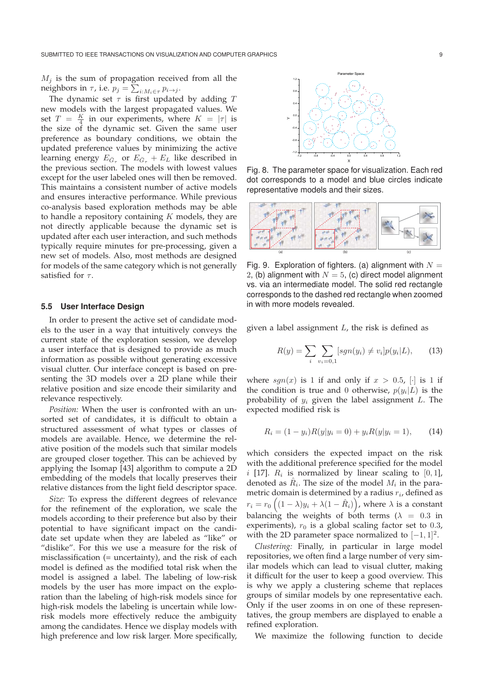$M_j$  is the sum of propagation received from all the neighbors in  $\tau$ , i.e.  $p_j = \sum_{i:M_i \in \tau} p_{i \to j}$ .<br>The dynamic set = is first undertaken

The dynamic set  $\tau$  is first updated by adding  $T$ new models with the largest propagated values. We set  $T = \frac{K}{4}$  in our experiments, where  $K = |\tau|$  is<br>the size of the dynamic set Civen the same user the size of the dynamic set. Given the same user preference as boundary conditions, we obtain the updated preference values by minimizing the active learning energy  $E_{\bar{G}_{\tau}}$  or  $E_{\bar{G}_{\tau}} + E_L$  like described in the previous section. The models with lowest values except for the user labeled ones will then be removed. This maintains a consistent number of active models and ensures interactive performance. While previous co-analysis based exploration methods may be able to handle a repository containing  $K$  models, they are not directly applicable because the dynamic set is updated after each user interaction, and such methods typically require minutes for pre-processing, given a new set of models. Also, most methods are designed for models of the same category which is not generally satisfied for  $\tau$ .

### **5.5 User Interface Design**

In order to present the active set of candidate models to the user in a way that intuitively conveys the current state of the exploration session, we develop a user interface that is designed to provide as much information as possible without generating excessive visual clutter. Our interface concept is based on presenting the 3D models over a 2D plane while their relative position and size encode their similarity and relevance respectively.

*Position:* When the user is confronted with an unsorted set of candidates, it is difficult to obtain a structured assessment of what types or classes of models are available. Hence, we determine the relative position of the models such that similar models are grouped closer together. This can be achieved by applying the Isomap [43] algorithm to compute a 2D embedding of the models that locally preserves their relative distances from the light field descriptor space.

*Size:* To express the different degrees of relevance for the refinement of the exploration, we scale the models according to their preference but also by their potential to have significant impact on the candidate set update when they are labeled as "like" or "dislike". For this we use a measure for the risk of misclassification (= uncertainty), and the risk of each model is defined as the modified total risk when the model is assigned a label. The labeling of low-risk models by the user has more impact on the exploration than the labeling of high-risk models since for high-risk models the labeling is uncertain while lowrisk models more effectively reduce the ambiguity among the candidates. Hence we display models with high preference and low risk larger. More specifically,



Fig. 8. The parameter space for visualization. Each red dot corresponds to a model and blue circles indicate representative models and their sizes.



Fig. 9. Exploration of fighters. (a) alignment with  $N =$ 2, (b) alignment with  $N = 5$ , (c) direct model alignment vs. via an intermediate model. The solid red rectangle corresponds to the dashed red rectangle when zoomed in with more models revealed.

given a label assignment  $L$ , the risk is defined as

$$
R(y) = \sum_{i} \sum_{v_i=0,1} [sgn(y_i) \neq v_i] p(y_i|L), \qquad (13)
$$

where  $sgn(x)$  is 1 if and only if  $x > 0.5$ ,  $\lceil \cdot \rceil$  is 1 if the condition is true and 0 otherwise,  $p(y_i|L)$  is the probability of  $y_i$  given the label assignment  $L$ . The expected modified risk is

$$
R_i = (1 - y_i)R(y|y_i = 0) + y_iR(y|y_i = 1), \qquad (14)
$$

which considers the expected impact on the risk with the additional preference specified for the model  $i$  [17].  $R_i$  is normalized by linear scaling to [0, 1], denoted as  $\hat{R}_i$ . The size of the model  $M_i$  in the parametric domain is determined by a radius  $r_i$ , defined as  $r_i = r_0 \left( (1 - \lambda) y_i + \lambda (1 - \hat{R}_i) \right)$ , where  $\lambda$  is a constant balancing the weights of both terms ( $\lambda = 0.3$  in experiments),  $r_0$  is a global scaling factor set to 0.3, with the 2D parameter space normalized to  $[-1, 1]^2$ .

*Clustering:* Finally, in particular in large model repositories, we often find a large number of very similar models which can lead to visual clutter, making it difficult for the user to keep a good overview. This is why we apply a clustering scheme that replaces groups of similar models by one representative each. Only if the user zooms in on one of these representatives, the group members are displayed to enable a refined exploration.

We maximize the following function to decide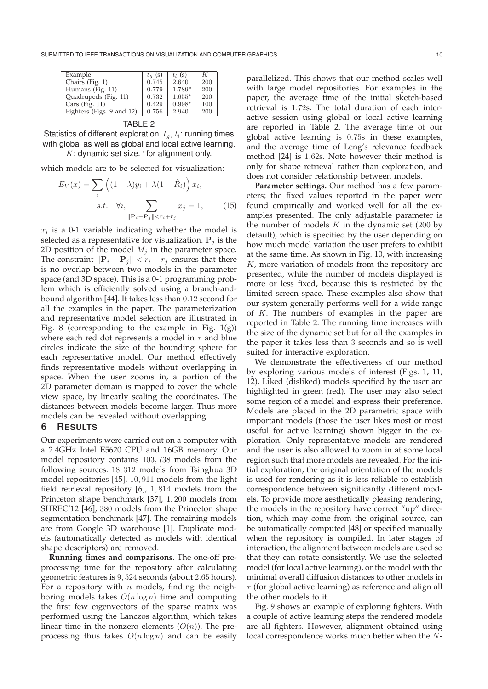| Example                   | $t_q$ (s) | $t_1$ (s) | ĸ   |
|---------------------------|-----------|-----------|-----|
| Chairs (Fig. 1)           | 0.745     | 2.640     | 200 |
| Humans (Fig. 11)          | 0.779     | 1.789*    | 200 |
| Quadrupeds (Fig. 11)      | 0.732     | $1.655*$  | 200 |
| Cars (Fig. 11)            | 0.429     | $0.998*$  | 100 |
| Fighters (Figs. 9 and 12) | 0.756     | 2.940     | 200 |
|                           |           |           |     |

Statistics of different exploration.  $t_q$ ,  $t_l$ : running times with global as well as global and local active learning.

 $K:$  dynamic set size.  $*$  for alignment only.

which models are to be selected for visualization:

$$
E_V(x) = \sum_{i} \left( (1 - \lambda)y_i + \lambda(1 - \hat{R}_i) \right) x_i,
$$
  
s.t.  $\forall i, \sum_{\|\mathbf{P}_i - \mathbf{P}_j\| < r_i + r_j} x_j = 1,$  (15)

 $x_i$  is a 0-1 variable indicating whether the model is selected as a representative for visualization.  $P_i$  is the 2D position of the model  $M_i$  in the parameter space. The constraint  $\|\mathbf{P}_i - \mathbf{P}_j\| < r_i + r_j$  ensures that there is no overlap between two models in the parameter space (and 3D space). This is a 0-1 programming problem which is efficiently solved using a branch-andbound algorithm [44]. It takes less than 0.12 second for all the examples in the paper. The parameterization and representative model selection are illustrated in Fig. 8 (corresponding to the example in Fig.  $1(g)$ ) where each red dot represents a model in  $\tau$  and blue circles indicate the size of the bounding sphere for each representative model. Our method effectively finds representative models without overlapping in space. When the user zooms in, a portion of the 2D parameter domain is mapped to cover the whole view space, by linearly scaling the coordinates. The distances between models become larger. Thus more models can be revealed without overlapping.

## **6 RESULTS**

Our experiments were carried out on a computer with a 2.4GHz Intel E5620 CPU and 16GB memory. Our model repository contains 103, 738 models from the following sources: 18, 312 models from Tsinghua 3D model repositories [45], 10, 911 models from the light field retrieval repository [6], 1, 814 models from the Princeton shape benchmark [37], 1, 200 models from SHREC'12 [46], 380 models from the Princeton shape segmentation benchmark [47]. The remaining models are from Google 3D warehouse [1]. Duplicate models (automatically detected as models with identical shape descriptors) are removed.

**Running times and comparisons.** The one-off preprocessing time for the repository after calculating geometric features is 9, 524 seconds (about 2.65 hours). For a repository with  $n$  models, finding the neighboring models takes  $O(n \log n)$  time and computing the first few eigenvectors of the sparse matrix was performed using the Lanczos algorithm, which takes linear time in the nonzero elements  $(O(n))$ . The preprocessing thus takes  $O(n \log n)$  and can be easily parallelized. This shows that our method scales well with large model repositories. For examples in the paper, the average time of the initial sketch-based retrieval is 1.72s. The total duration of each interactive session using global or local active learning are reported in Table 2. The average time of our global active learning is 0.75s in these examples, and the average time of Leng's relevance feedback method [24] is 1.62s. Note however their method is only for shape retrieval rather than exploration, and does not consider relationship between models.

**Parameter settings.** Our method has a few parameters; the fixed values reported in the paper were found empirically and worked well for all the examples presented. The only adjustable parameter is the number of models  $K$  in the dynamic set (200 by default), which is specified by the user depending on how much model variation the user prefers to exhibit at the same time. As shown in Fig. 10, with increasing  $K$ , more variation of models from the repository are presented, while the number of models displayed is more or less fixed, because this is restricted by the limited screen space. These examples also show that our system generally performs well for a wide range of K. The numbers of examples in the paper are reported in Table 2. The running time increases with the size of the dynamic set but for all the examples in the paper it takes less than <sup>3</sup> seconds and so is well suited for interactive exploration.

We demonstrate the effectiveness of our method by exploring various models of interest (Figs. 1, 11, 12). Liked (disliked) models specified by the user are highlighted in green (red). The user may also select some region of a model and express their preference. Models are placed in the 2D parametric space with important models (those the user likes most or most useful for active learning) shown bigger in the exploration. Only representative models are rendered and the user is also allowed to zoom in at some local region such that more models are revealed. For the initial exploration, the original orientation of the models is used for rendering as it is less reliable to establish correspondence between significantly different models. To provide more aesthetically pleasing rendering, the models in the repository have correct "up" direction, which may come from the original source, can be automatically computed [48] or specified manually when the repository is compiled. In later stages of interaction, the alignment between models are used so that they can rotate consistently. We use the selected model (for local active learning), or the model with the minimal overall diffusion distances to other models in  $\tau$  (for global active learning) as reference and align all the other models to it.

Fig. 9 shows an example of exploring fighters. With a couple of active learning steps the rendered models are all fighters. However, alignment obtained using local correspondence works much better when the N-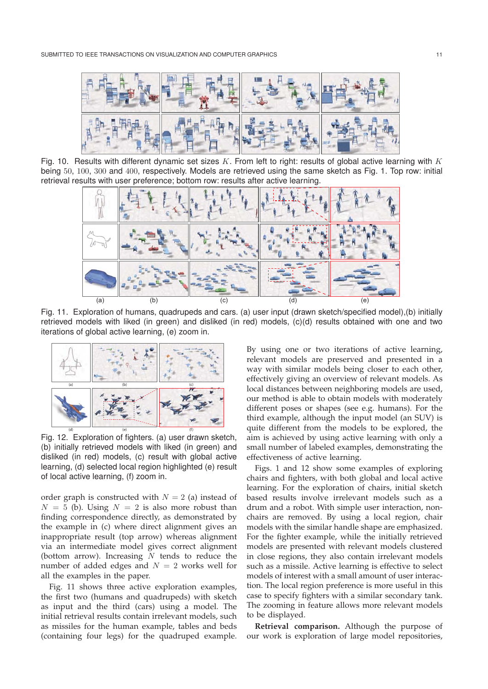

Fig. 10. Results with different dynamic set sizes K. From left to right: results of global active learning with K being 50, 100, 300 and 400, respectively. Models are retrieved using the same sketch as Fig. 1. Top row: initial retrieval results with user preference; bottom row: results after active learning.



Fig. 11. Exploration of humans, quadrupeds and cars. (a) user input (drawn sketch/specified model),(b) initially retrieved models with liked (in green) and disliked (in red) models, (c)(d) results obtained with one and two iterations of global active learning, (e) zoom in.



Fig. 12. Exploration of fighters. (a) user drawn sketch, (b) initially retrieved models with liked (in green) and disliked (in red) models, (c) result with global active learning, (d) selected local region highlighted (e) result of local active learning, (f) zoom in.

order graph is constructed with  $N = 2$  (a) instead of  $N = 5$  (b). Using  $N = 2$  is also more robust than finding correspondence directly, as demonstrated by the example in (c) where direct alignment gives an inappropriate result (top arrow) whereas alignment via an intermediate model gives correct alignment (bottom arrow). Increasing  $N$  tends to reduce the number of added edges and  $N = 2$  works well for all the examples in the paper.

Fig. 11 shows three active exploration examples, the first two (humans and quadrupeds) with sketch as input and the third (cars) using a model. The initial retrieval results contain irrelevant models, such as missiles for the human example, tables and beds (containing four legs) for the quadruped example.

By using one or two iterations of active learning, relevant models are preserved and presented in a way with similar models being closer to each other, effectively giving an overview of relevant models. As local distances between neighboring models are used, our method is able to obtain models with moderately different poses or shapes (see e.g. humans). For the third example, although the input model (an SUV) is quite different from the models to be explored, the aim is achieved by using active learning with only a small number of labeled examples, demonstrating the effectiveness of active learning.

Figs. 1 and 12 show some examples of exploring chairs and fighters, with both global and local active learning. For the exploration of chairs, initial sketch based results involve irrelevant models such as a drum and a robot. With simple user interaction, nonchairs are removed. By using a local region, chair models with the similar handle shape are emphasized. For the fighter example, while the initially retrieved models are presented with relevant models clustered in close regions, they also contain irrelevant models such as a missile. Active learning is effective to select models of interest with a small amount of user interaction. The local region preference is more useful in this case to specify fighters with a similar secondary tank. The zooming in feature allows more relevant models to be displayed.

**Retrieval comparison.** Although the purpose of our work is exploration of large model repositories,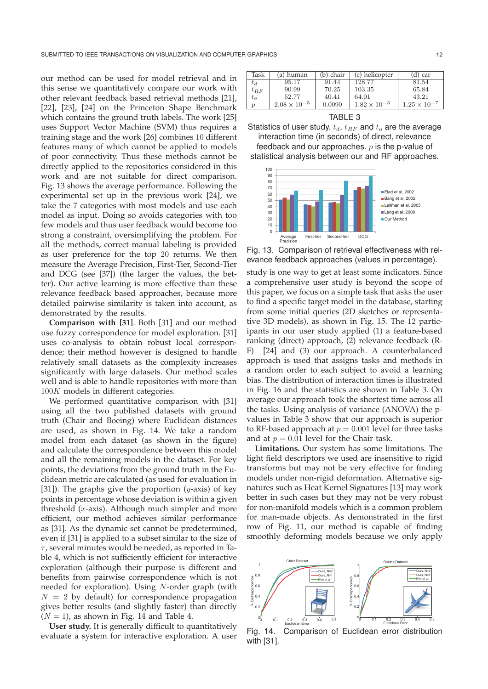our method can be used for model retrieval and in this sense we quantitatively compare our work with other relevant feedback based retrieval methods [21], [22], [23], [24] on the Princeton Shape Benchmark which contains the ground truth labels. The work [25] uses Support Vector Machine (SVM) thus requires a training stage and the work [26] combines 10 different features many of which cannot be applied to models of poor connectivity. Thus these methods cannot be directly applied to the repositories considered in this work and are not suitable for direct comparison. Fig. 13 shows the average performance. Following the experimental set up in the previous work [24], we take the 7 categories with most models and use each model as input. Doing so avoids categories with too few models and thus user feedback would become too strong a constraint, oversimplifying the problem. For all the methods, correct manual labeling is provided as user preference for the top 20 returns. We then measure the Average Precision, First-Tier, Second-Tier and DCG (see [37]) (the larger the values, the better). Our active learning is more effective than these relevance feedback based approaches, because more detailed pairwise similarity is taken into account, as demonstrated by the results.

**Comparison with [31]**. Both [31] and our method use fuzzy correspondence for model exploration. [31] uses co-analysis to obtain robust local correspondence; their method however is designed to handle relatively small datasets as the complexity increases significantly with large datasets. Our method scales well and is able to handle repositories with more than 100<sup>K</sup> models in different categories.

We performed quantitative comparison with [31] using all the two published datasets with ground truth (Chair and Boeing) where Euclidean distances are used, as shown in Fig. 14. We take a random model from each dataset (as shown in the figure) and calculate the correspondence between this model and all the remaining models in the dataset. For key points, the deviations from the ground truth in the Euclidean metric are calculated (as used for evaluation in [31]). The graphs give the proportion  $(y\text{-axis})$  of key points in percentage whose deviation is within a given threshold  $(x-axis)$ . Although much simpler and more efficient, our method achieves similar performance as [31]. As the dynamic set cannot be predetermined, even if [31] is applied to a subset similar to the size of  $\tau$ , several minutes would be needed, as reported in Table 4, which is not sufficiently efficient for interactive exploration (although their purpose is different and benefits from pairwise correspondence which is not needed for exploration). Using N-order graph (with  $N = 2$  by default) for correspondence propagation gives better results (and slightly faster) than directly  $(N = 1)$ , as shown in Fig. 14 and Table 4.

**User study.** It is generally difficult to quantitatively evaluate a system for interactive exploration. A user

| 128.77<br>95.17<br>81.54<br>91.44<br>$t_d$<br>103.35<br>90.99<br>70.25<br>65.84<br>$t_{RF}$<br>43.21<br>52.77<br>64.01<br>40.41<br>$t_o$ | Task             | (a) human             | (b) chair | $(c)$ helicopter      | (d) car               |
|------------------------------------------------------------------------------------------------------------------------------------------|------------------|-----------------------|-----------|-----------------------|-----------------------|
|                                                                                                                                          |                  |                       |           |                       |                       |
|                                                                                                                                          |                  |                       |           |                       |                       |
|                                                                                                                                          |                  |                       |           |                       |                       |
|                                                                                                                                          | $\boldsymbol{v}$ | $2.08 \times 10^{-5}$ | 0.0090    | $1.82 \times 10^{-5}$ | $1.25 \times 10^{-7}$ |



Statistics of user study.  $t_d$ ,  $t_{RF}$  and  $t_o$  are the average interaction time (in seconds) of direct, relevance feedback and our approaches.  $p$  is the p-value of

statistical analysis between our and RF approaches.



Fig. 13. Comparison of retrieval effectiveness with relevance feedback approaches (values in percentage).

study is one way to get at least some indicators. Since a comprehensive user study is beyond the scope of this paper, we focus on a simple task that asks the user to find a specific target model in the database, starting from some initial queries (2D sketches or representative 3D models), as shown in Fig. 15. The 12 participants in our user study applied (1) a feature-based ranking (direct) approach, (2) relevance feedback (R-F) [24] and (3) our approach. A counterbalanced approach is used that assigns tasks and methods in a random order to each subject to avoid a learning bias. The distribution of interaction times is illustrated in Fig. 16 and the statistics are shown in Table 3. On average our approach took the shortest time across all the tasks. Using analysis of variance (ANOVA) the pvalues in Table 3 show that our approach is superior to RF-based approach at  $p = 0.001$  level for three tasks and at  $p = 0.01$  level for the Chair task.

**Limitations.** Our system has some limitations. The light field descriptors we used are insensitive to rigid transforms but may not be very effective for finding models under non-rigid deformation. Alternative signatures such as Heat Kernel Signatures [13] may work better in such cases but they may not be very robust for non-manifold models which is a common problem for man-made objects. As demonstrated in the first row of Fig. 11, our method is capable of finding smoothly deforming models because we only apply



Fig. 14. Comparison of Euclidean error distribution with [31].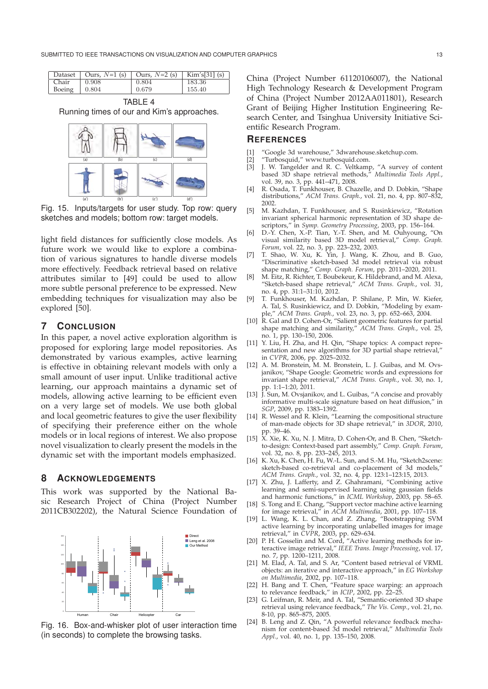|                      | Dataset   Ours, $N=1$ (s)   Ours, $N=2$ (s)   Kim's[31] (s) |       |        |
|----------------------|-------------------------------------------------------------|-------|--------|
| Chair                | 0.908                                                       | 0.804 | 183.36 |
| Boeing $\vert$ 0.804 |                                                             | 0.679 | 155.40 |

TABLE 4 Running times of our and Kim's approaches.



Fig. 15. Inputs/targets for user study. Top row: query sketches and models; bottom row: target models.

light field distances for sufficiently close models. As future work we would like to explore a combination of various signatures to handle diverse models more effectively. Feedback retrieval based on relative attributes similar to [49] could be used to allow more subtle personal preference to be expressed. New embedding techniques for visualization may also be explored [50].

# **7 CONCLUSION**

In this paper, a novel active exploration algorithm is proposed for exploring large model repositories. As demonstrated by various examples, active learning is effective in obtaining relevant models with only a small amount of user input. Unlike traditional active learning, our approach maintains a dynamic set of models, allowing active learning to be efficient even on a very large set of models. We use both global and local geometric features to give the user flexibility of specifying their preference either on the whole models or in local regions of interest. We also propose novel visualization to clearly present the models in the dynamic set with the important models emphasized.

# **8 ACKNOWLEDGEMENTS**

This work was supported by the National Basic Research Project of China (Project Number 2011CB302202), the Natural Science Foundation of



Fig. 16. Box-and-whisker plot of user interaction time (in seconds) to complete the browsing tasks.

China (Project Number 61120106007), the National High Technology Research & Development Program of China (Project Number 2012AA011801), Research Grant of Beijing Higher Institution Engineering Research Center, and Tsinghua University Initiative Scientific Research Program.

## **REFERENCES**

- [1] "Google 3d warehouse," 3dwarehouse.sketchup.com.
- [2] "Turbosquid," www.turbosquid.com.
- [3] J. W. Tangelder and R. C. Veltkamp, "A survey of content based 3D shape retrieval methods," *Multimedia Tools Appl.*, vol. 39, no. 3, pp. 441–471, 2008.
- [4] R. Osada, T. Funkhouser, B. Chazelle, and D. Dobkin, "Shape distributions," *ACM Trans. Graph.*, vol. 21, no. 4, pp. 807–832, 2002.
- [5] M. Kazhdan, T. Funkhouser, and S. Rusinkiewicz, "Rotation invariant spherical harmonic representation of 3D shape descriptors," in *Symp. Geometry Processing*, 2003, pp. 156–164.
- [6] D.-Y. Chen, X.-P. Tian, Y.-T. Shen, and M. Ouhyoung, "On visual similarity based 3D model retrieval," *Comp. Graph. Forum*, vol. 22, no. 3, pp. 223–232, 2003.
- [7] T. Shao, W. Xu, K. Yin, J. Wang, K. Zhou, and B. Guo, "Discriminative sketch-based 3d model retrieval via robust shape matching," *Comp. Graph. Forum*, pp. 2011–2020, 2011.
- [8] M. Eitz, R. Richter, T. Boubekeur, K. Hildebrand, and M. Alexa, "Sketch-based shape retrieval," *ACM Trans. Graph.*, vol. 31, no. 4, pp. 31:1–31:10, 2012.
- [9] T. Funkhouser, M. Kazhdan, P. Shilane, P. Min, W. Kiefer, A. Tal, S. Rusinkiewicz, and D. Dobkin, "Modeling by example," *ACM Trans. Graph.*, vol. 23, no. 3, pp. 652–663, 2004.
- [10] R. Gal and D. Cohen-Or, "Salient geometric features for partial shape matching and similarity," *ACM Trans. Graph.*, vol. 25, no. 1, pp. 130–150, 2006.
- [11] Y. Liu, H. Zha, and H. Qin, "Shape topics: A compact representation and new algorithms for 3D partial shape retrieval," in *CVPR*, 2006, pp. 2025–2032.
- [12] A. M. Bronstein, M. M. Bronstein, L. J. Guibas, and M. Ovsjanikov, "Shape Google: Geometric words and expressions for invariant shape retrieval," *ACM Trans. Graph.*, vol. 30, no. 1, pp. 1:1–1:20, 2011.
- [13] J. Sun, M. Ovsjanikov, and L. Guibas, "A concise and provably informative multi-scale signature based on heat diffusion," in *SGP*, 2009, pp. 1383–1392.
- [14] R. Wessel and R. Klein, "Learning the compositional structure of man-made objects for 3D shape retrieval," in *3DOR*, 2010, pp. 39–46.
- [15] X. Xie, K. Xu, N. J. Mitra, D. Cohen-Or, and B. Chen, "Sketchto-design: Context-based part assembly," *Comp. Graph. Forum*, vol. 32, no. 8, pp. 233–245, 2013.
- [16] K. Xu, K. Chen, H. Fu, W.-L. Sun, and S.-M. Hu, "Sketch2scene: sketch-based co-retrieval and co-placement of 3d models, *ACM Trans. Graph.*, vol. 32, no. 4, pp. 123:1–123:15, 2013.
- [17] X. Zhu, J. Lafferty, and Z. Ghahramani, "Combining active learning and semi-supervised learning using gaussian fields and harmonic functions," in *ICML Workshop*, 2003, pp. 58–65.
- [18] S. Tong and E. Chang, "Support vector machine active learning for image retrieval," in *ACM Multimedia*, 2001, pp. 107–118.
- [19] L. Wang, K. L. Chan, and Z. Zhang, "Bootstrapping SVM active learning by incorporating unlabelled images for image retrieval," in *CVPR*, 2003, pp. 629–634.
- [20] P. H. Gosselin and M. Cord, "Active learning methods for interactive image retrieval," *IEEE Trans. Image Processing*, vol. 17, no. 7, pp. 1200–1211, 2008.
- [21] M. Elad, A. Tal, and S. Ar, "Content based retrieval of VRML objects: an iterative and interactive approach," in *EG Workshop on Multimedia*, 2002, pp. 107–118.
- [22] H. Bang and T. Chen, "Feature space warping: an approach to relevance feedback," in *ICIP*, 2002, pp. 22–25.
- [23] G. Leifman, R. Meir, and A. Tal, "Semantic-oriented 3D shape retrieval using relevance feedback," *The Vis. Comp.*, vol. 21, no. 8-10, pp. 865–875, 2005.
- [24] B. Leng and Z. Qin, "A powerful relevance feedback mechanism for content-based 3d model retrieval," *Multimedia Tools Appl.*, vol. 40, no. 1, pp. 135–150, 2008.